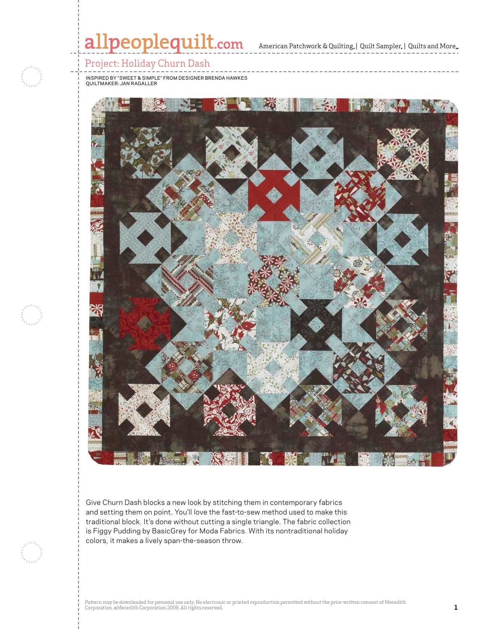

 $\mathbb{R}$  and  $\mathbb{R}$  are particular in  $\mathbb{R}$  and  $\mathbb{R}$ 

colors, it makes a lively span-the-season throw.

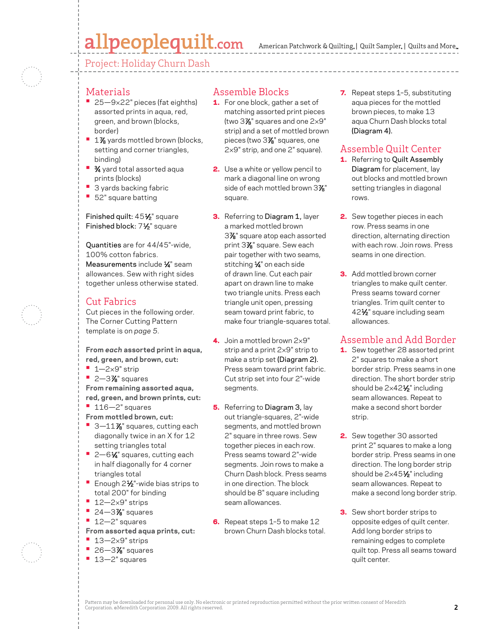# allpeoplequilt.com

Project: Holiday Churn Dash



#### Materials

- 25-9×22" pieces (fat eighths) assorted prints in aqua, red, green, and brown (blocks, border)
- <sup>1</sup> 1% yards mottled brown (blocks, setting and corner triangles, binding)
- **34** yard total assorted aqua prints (blocks)
- **3 yards backing fabric**
- **•**  52" square batting

#### Finished quilt: 451⁄2" square Finished block: 71⁄2" square

Quantities are for 44/45"-wide, 100% cotton fabrics. Measurements include <sup>1/4</sup> seam allowances. Sew with right sides together unless otherwise stated.

### Cut Fabrics

Cut pieces in the following order. The Corner Cutting Pattern template is on *page 5*.

**From** *each* **assorted print in aqua, red, green, and brown, cut:**

- **•**  1—2×9" strip
- **•** 2-3% squares

**From remaining assorted aqua, red, green, and brown prints, cut:**

**•**  116—2" squares

**From mottled brown, cut:**

- <sup>1</sup> 3-11% squares, cutting each diagonally twice in an X for 12 setting triangles total
- 2-6<sup>1</sup>⁄4" squares, cutting each in half diagonally for 4 corner triangles total
- Enough 2½"-wide bias strips to total 200" for binding
- **•**  12—2×9" strips
- **•** 24–3% squares
- **•**  12—2" squares
- **From assorted aqua prints, cut:**
- **•**  13—2×9" strips
- **•** 26–3% squares
- **•**  13—2" squares

## Assemble Blocks

- **1.** For one block, gather a set of matching assorted print pieces (two 3 $\%$ " squares and one 2 $\times$ 9" strip) and a set of mottled brown pieces (two 37 ⁄8" squares, one 2×9" strip, and one 2" square).
- **2.** Use a white or yellow pencil to mark a diagonal line on wrong side of each mottled brown 3 $\mathcal{V}_{\mathbf{8}}$ " square.
- **3.** Referring to Diagram 1, layer a marked mottled brown 37 ⁄8" square atop each assorted print 37 ⁄8" square. Sew each pair together with two seams, stitching 1/4" on each side of drawn line. Cut each pair apart on drawn line to make two triangle units. Press each triangle unit open, pressing seam toward print fabric, to make four triangle-squares total.
- 4. Join a mottled brown  $2\times9"$ strip and a print 2×9" strip to make a strip set (Diagram 2). Press seam toward print fabric. Cut strip set into four 2"-wide segments.
- **5.** Referring to Diagram 3, lay out triangle-squares, 2"-wide segments, and mottled brown 2" square in three rows. Sew together pieces in each row. Press seams toward 2"-wide segments. Join rows to make a Churn Dash block. Press seams in one direction. The block should be 8" square including seam allowances.
- 6. Repeat steps 1-5 to make 12 brown Churn Dash blocks total.

**7.** Repeat steps 1-5, substituting aqua pieces for the mottled brown pieces, to make 13 aqua Churn Dash blocks total (Diagram 4).

## Assemble Quilt Center

- 1. Referring to Quilt Assembly Diagram for placement, lay out blocks and mottled brown setting triangles in diagonal rows.
- 2. Sew together pieces in each row. Press seams in one direction, alternating direction with each row. Join rows. Press seams in one direction.
- **3.** Add mottled brown corner triangles to make quilt center. Press seams toward corner triangles. Trim quilt center to 42<sup>1</sup>/<sub>2</sub>" square including seam allowances.

## Assemble and Add Border

- **1.** Sew together 28 assorted print 2" squares to make a short border strip. Press seams in one direction. The short border strip should be 2x42<sup>1</sup>/<sub>2</sub>" including seam allowances. Repeat to make a second short border strip.
- 2. Sew together 30 assorted print 2" squares to make a long border strip. Press seams in one direction. The long border strip should be  $2\times45\frac{1}{2}$ " including seam allowances. Repeat to make a second long border strip.
- **3.** Sew short border strips to opposite edges of quilt center. Add long border strips to remaining edges to complete quilt top. Press all seams toward quilt center.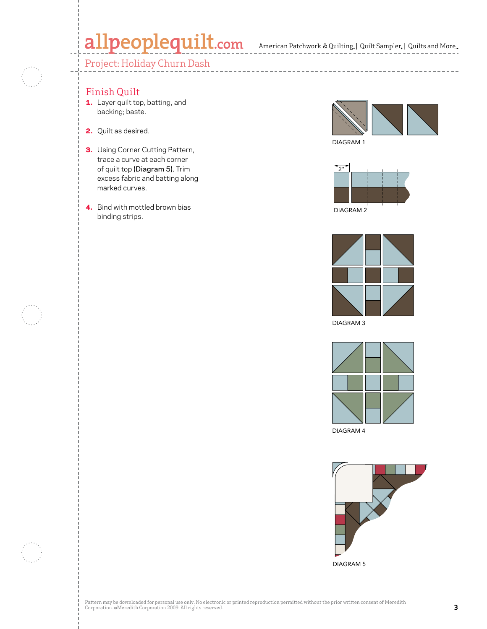# allpeoplequilt.com American Patchwork & Quilting, | Quilt Sampler, | Quilts and More..

## Project: Holiday Churn Dash



#### Finish Quilt

- 1. Layer quilt top, batting, and backing; baste.
- 2. Quilt as desired.
- **3.** Using Corner Cutting Pattern, trace a curve at each corner of quilt top (Diagram 5). Trim excess fabric and batting along marked curves.
- 4. Bind with mottled brown bias binding strips.



DIAGRAM 1

\_\_\_\_\_\_\_\_\_\_\_\_\_\_\_\_\_\_\_\_\_\_





DIAGRAM 3



DIAGRAM 4



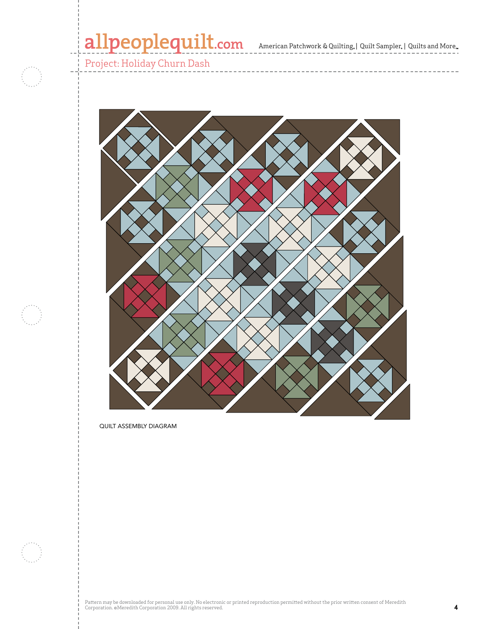# allpeoplequilt.com<br>American Patchwork & Quilting, | Quilt Sampler, | Quilts and More..

Project: Holiday Churn Dash

- 3

-------------------------



QUILT ASSEMBLY DIAGRAM